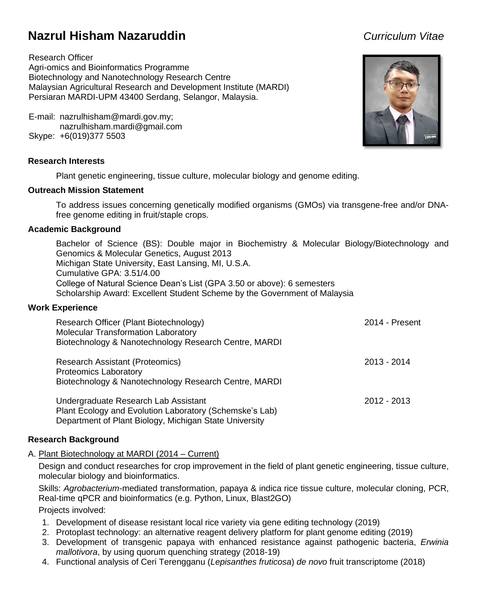# **Nazrul Hisham Nazaruddin** *Curriculum Vitae*

Research Officer Agri-omics and Bioinformatics Programme Biotechnology and Nanotechnology Research Centre Malaysian Agricultural Research and Development Institute (MARDI) Persiaran MARDI-UPM 43400 Serdang, Selangor, Malaysia.

E-mail: nazrulhisham@mardi.gov.my; nazrulhisham.mardi@gmail.com Skype: +6(019)377 5503

# **Research Interests**

Plant genetic engineering, tissue culture, molecular biology and genome editing.

# **Outreach Mission Statement**

To address issues concerning genetically modified organisms (GMOs) via transgene-free and/or DNAfree genome editing in fruit/staple crops.

# **Academic Background**

Bachelor of Science (BS): Double major in Biochemistry & Molecular Biology/Biotechnology and Genomics & Molecular Genetics, August 2013 Michigan State University, East Lansing, MI, U.S.A. Cumulative GPA: 3.51/4.00 College of Natural Science Dean's List (GPA 3.50 or above): 6 semesters Scholarship Award: Excellent Student Scheme by the Government of Malaysia

## **Work Experience**

| Research Officer (Plant Biotechnology)<br><b>Molecular Transformation Laboratory</b><br>Biotechnology & Nanotechnology Research Centre, MARDI             | 2014 - Present |
|-----------------------------------------------------------------------------------------------------------------------------------------------------------|----------------|
| <b>Research Assistant (Proteomics)</b><br><b>Proteomics Laboratory</b><br>Biotechnology & Nanotechnology Research Centre, MARDI                           | $2013 - 2014$  |
| Undergraduate Research Lab Assistant<br>Plant Ecology and Evolution Laboratory (Schemske's Lab)<br>Department of Plant Biology, Michigan State University | $2012 - 2013$  |

# **Research Background**

A. Plant Biotechnology at MARDI (2014 – Current)

Design and conduct researches for crop improvement in the field of plant genetic engineering, tissue culture, molecular biology and bioinformatics.

Skills: *Agrobacterium*-mediated transformation, papaya & indica rice tissue culture, molecular cloning, PCR, Real-time qPCR and bioinformatics (e.g. Python, Linux, Blast2GO)

Projects involved:

- 1. Development of disease resistant local rice variety via gene editing technology (2019)
- 2. Protoplast technology: an alternative reagent delivery platform for plant genome editing (2019)
- 3. Development of transgenic papaya with enhanced resistance against pathogenic bacteria, *Erwinia mallotivora*, by using quorum quenching strategy (2018-19)
- 4. Functional analysis of Ceri Terengganu (*Lepisanthes fruticosa*) *de novo* fruit transcriptome (2018)